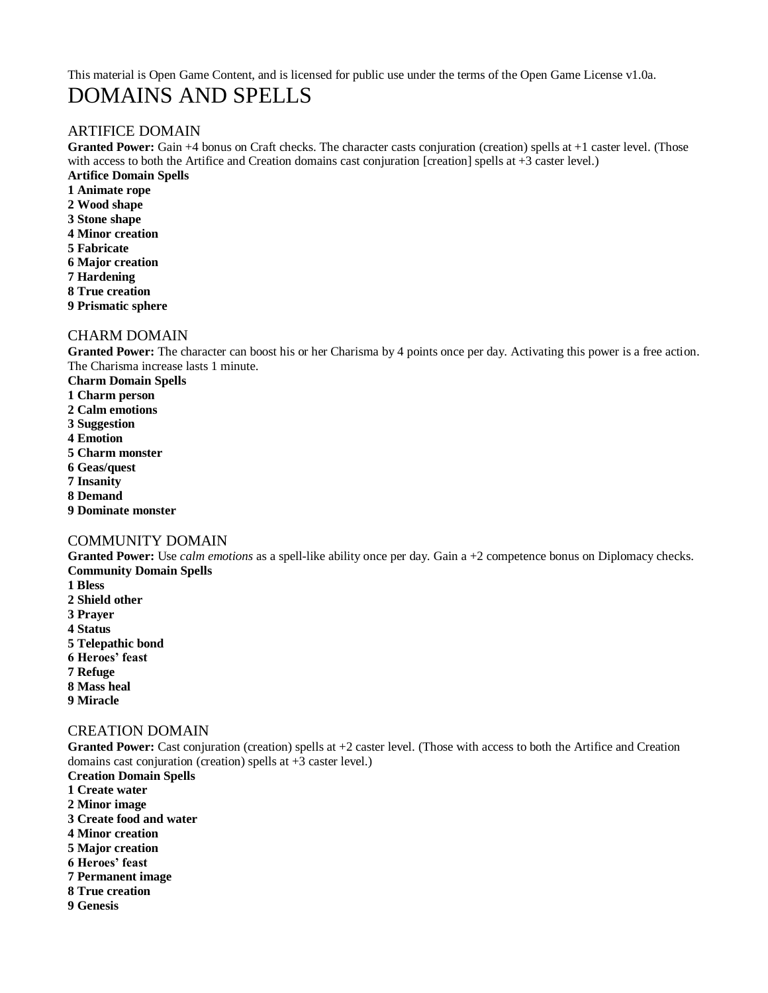# This material is Open Game Content, and is licensed for public use under the terms of the Open Game License v1.0a. DOMAINS AND SPELLS

## ARTIFICE DOMAIN

Granted Power: Gain +4 bonus on Craft checks. The character casts conjuration (creation) spells at +1 caster level. (Those with access to both the Artifice and Creation domains cast conjuration [creation] spells at +3 caster level.) **Artifice Domain Spells**

**1 Animate rope 2 Wood shape 3 Stone shape 4 Minor creation 5 Fabricate 6 Major creation 7 Hardening 8 True creation**

**9 Prismatic sphere**

## CHARM DOMAIN

**Granted Power:** The character can boost his or her Charisma by 4 points once per day. Activating this power is a free action. The Charisma increase lasts 1 minute.

- **Charm Domain Spells**
- **1 Charm person**
- **2 Calm emotions**
- **3 Suggestion**
- **4 Emotion**
- **5 Charm monster**
- **6 Geas/quest**
- **7 Insanity**
- **8 Demand**
- **9 Dominate monster**

## COMMUNITY DOMAIN

**Granted Power:** Use *calm emotions* as a spell-like ability once per day. Gain a +2 competence bonus on Diplomacy checks. **Community Domain Spells**

- **1 Bless 2 Shield other 3 Prayer 4 Status 5 Telepathic bond 6 Heroes' feast 7 Refuge**
- 
- **8 Mass heal**
- **9 Miracle**

### CREATION DOMAIN

**Granted Power:** Cast conjuration (creation) spells at +2 caster level. (Those with access to both the Artifice and Creation domains cast conjuration (creation) spells at +3 caster level.)

- **Creation Domain Spells**
- **1 Create water**
- **2 Minor image**
- **3 Create food and water**
- **4 Minor creation**
- **5 Major creation**
- **6 Heroes' feast**
- **7 Permanent image**
- **8 True creation**
- **9 Genesis**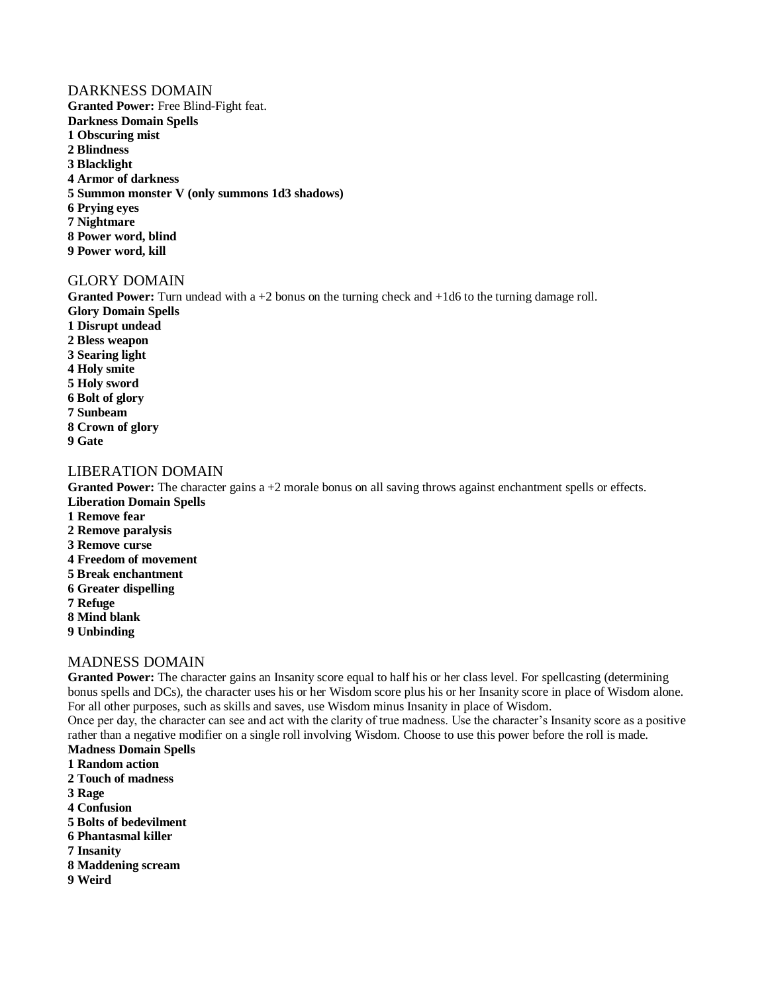#### DARKNESS DOMAIN

**Granted Power:** Free Blind-Fight feat. **Darkness Domain Spells 1 Obscuring mist 2 Blindness 3 Blacklight 4 Armor of darkness 5 Summon monster V (only summons 1d3 shadows) 6 Prying eyes 7 Nightmare 8 Power word, blind 9 Power word, kill**

## GLORY DOMAIN

**Granted Power:** Turn undead with a +2 bonus on the turning check and +1d6 to the turning damage roll. **Glory Domain Spells 1 Disrupt undead 2 Bless weapon 3 Searing light 4 Holy smite 5 Holy sword 6 Bolt of glory 7 Sunbeam 8 Crown of glory 9 Gate**

## LIBERATION DOMAIN

**Granted Power:** The character gains a +2 morale bonus on all saving throws against enchantment spells or effects. **Liberation Domain Spells**

- **1 Remove fear**
- **2 Remove paralysis**
- **3 Remove curse**
- **4 Freedom of movement**
- **5 Break enchantment**
- **6 Greater dispelling**
- **7 Refuge**
- **8 Mind blank**
- **9 Unbinding**

#### MADNESS DOMAIN

**Granted Power:** The character gains an Insanity score equal to half his or her class level. For spellcasting (determining bonus spells and DCs), the character uses his or her Wisdom score plus his or her Insanity score in place of Wisdom alone. For all other purposes, such as skills and saves, use Wisdom minus Insanity in place of Wisdom.

Once per day, the character can see and act with the clarity of true madness. Use the character's Insanity score as a positive rather than a negative modifier on a single roll involving Wisdom. Choose to use this power before the roll is made. **Madness Domain Spells**

- 
- **1 Random action**
- **2 Touch of madness**
- **3 Rage**
- **4 Confusion**
- **5 Bolts of bedevilment**
- **6 Phantasmal killer**
- **7 Insanity**
- **8 Maddening scream**
- **9 Weird**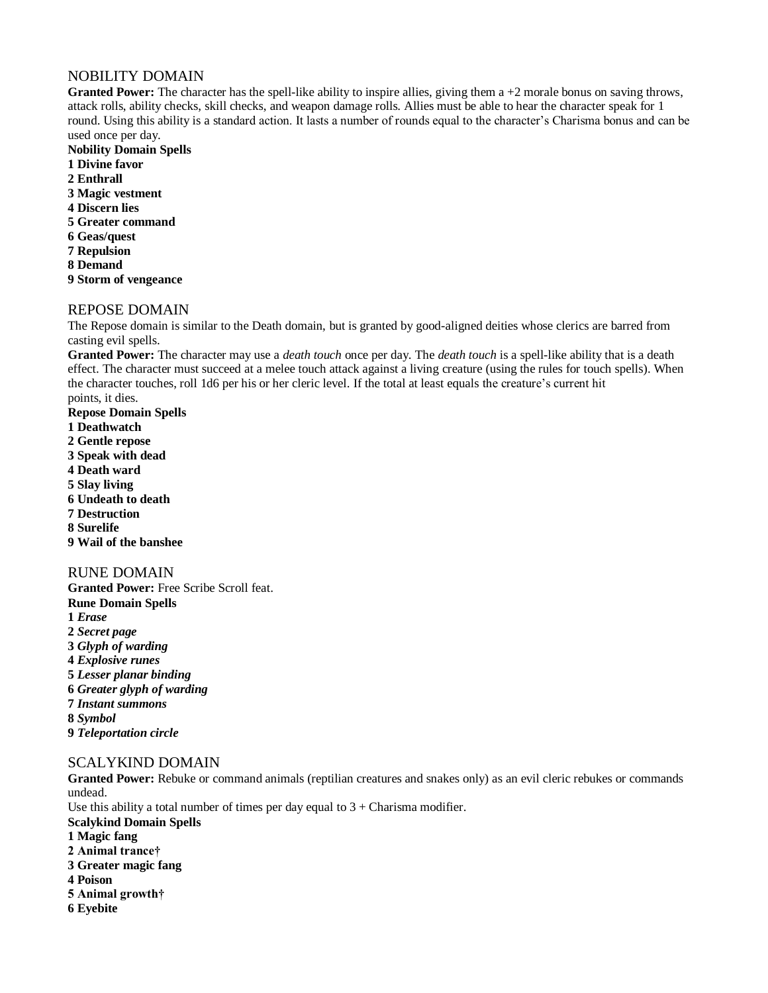## NOBILITY DOMAIN

**Granted Power:** The character has the spell-like ability to inspire allies, giving them a +2 morale bonus on saving throws, attack rolls, ability checks, skill checks, and weapon damage rolls. Allies must be able to hear the character speak for 1 round. Using this ability is a standard action. It lasts a number of rounds equal to the character's Charisma bonus and can be used once per day.

- **Nobility Domain Spells 1 Divine favor 2 Enthrall 3 Magic vestment 4 Discern lies 5 Greater command 6 Geas/quest 7 Repulsion 8 Demand**
- **9 Storm of vengeance**

## REPOSE DOMAIN

The Repose domain is similar to the Death domain, but is granted by good-aligned deities whose clerics are barred from casting evil spells.

**Granted Power:** The character may use a *death touch* once per day. The *death touch* is a spell-like ability that is a death effect. The character must succeed at a melee touch attack against a living creature (using the rules for touch spells). When the character touches, roll 1d6 per his or her cleric level. If the total at least equals the creature's current hit points, it dies.

- **Repose Domain Spells 1 Deathwatch 2 Gentle repose 3 Speak with dead 4 Death ward 5 Slay living 6 Undeath to death 7 Destruction 8 Surelife 9 Wail of the banshee** RUNE DOMAIN **Granted Power:** Free Scribe Scroll feat.
- **Rune Domain Spells 1** *Erase* **2** *Secret page* **3** *Glyph of warding* **4** *Explosive runes* **5** *Lesser planar binding* **6** *Greater glyph of warding* **7** *Instant summons* **8** *Symbol* **9** *Teleportation circle*

#### SCALYKIND DOMAIN

**Granted Power:** Rebuke or command animals (reptilian creatures and snakes only) as an evil cleric rebukes or commands undead.

Use this ability a total number of times per day equal to  $3 +$  Charisma modifier.

- **Scalykind Domain Spells**
- **1 Magic fang**
- **2 Animal trance†**
- **3 Greater magic fang**
- **4 Poison**
- **5 Animal growth†**
- **6 Eyebite**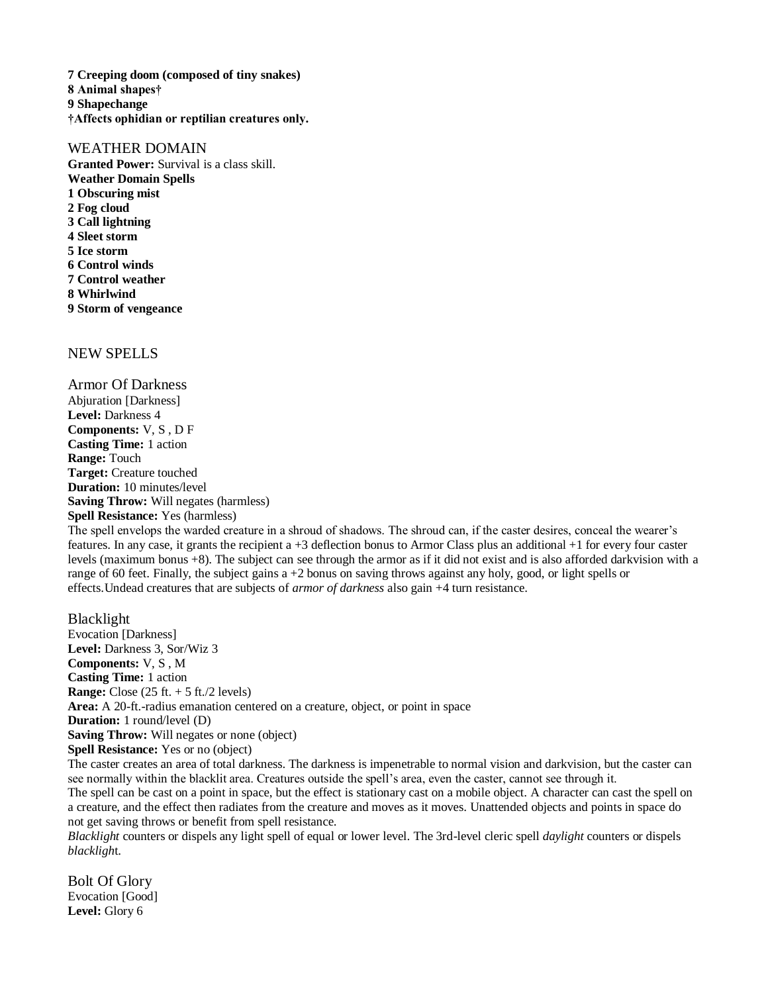**7 Creeping doom (composed of tiny snakes) 8 Animal shapes† 9 Shapechange †Affects ophidian or reptilian creatures only.**

### WEATHER DOMAIN

**Granted Power:** Survival is a class skill. **Weather Domain Spells 1 Obscuring mist 2 Fog cloud 3 Call lightning 4 Sleet storm 5 Ice storm 6 Control winds 7 Control weather 8 Whirlwind 9 Storm of vengeance**

## NEW SPELLS

Armor Of Darkness Abjuration [Darkness] **Level:** Darkness 4 **Components:** V, S , D F **Casting Time:** 1 action **Range:** Touch **Target:** Creature touched **Duration:** 10 minutes/level **Saving Throw:** Will negates (harmless) **Spell Resistance:** Yes (harmless)

The spell envelops the warded creature in a shroud of shadows. The shroud can, if the caster desires, conceal the wearer's features. In any case, it grants the recipient a +3 deflection bonus to Armor Class plus an additional +1 for every four caster levels (maximum bonus +8). The subject can see through the armor as if it did not exist and is also afforded darkvision with a range of 60 feet. Finally, the subject gains  $a + 2$  bonus on saving throws against any holy, good, or light spells or effects.Undead creatures that are subjects of *armor of darkness* also gain +4 turn resistance.

Blacklight Evocation [Darkness] **Level:** Darkness 3, Sor/Wiz 3 **Components:** V, S , M **Casting Time:** 1 action **Range:** Close (25 ft. + 5 ft./2 levels) **Area:** A 20-ft.-radius emanation centered on a creature, object, or point in space **Duration:** 1 round/level (D) **Saving Throw:** Will negates or none (object) **Spell Resistance:** Yes or no (object) The caster creates an area of total darkness. The darkness is impenetrable to normal vision and darkvision, but the caster can

see normally within the blacklit area. Creatures outside the spell's area, even the caster, cannot see through it. The spell can be cast on a point in space, but the effect is stationary cast on a mobile object. A character can cast the spell on a creature, and the effect then radiates from the creature and moves as it moves. Unattended objects and points in space do not get saving throws or benefit from spell resistance.

*Blacklight* counters or dispels any light spell of equal or lower level. The 3rd-level cleric spell *daylight* counters or dispels *blackligh*t.

Bolt Of Glory Evocation [Good] **Level:** Glory 6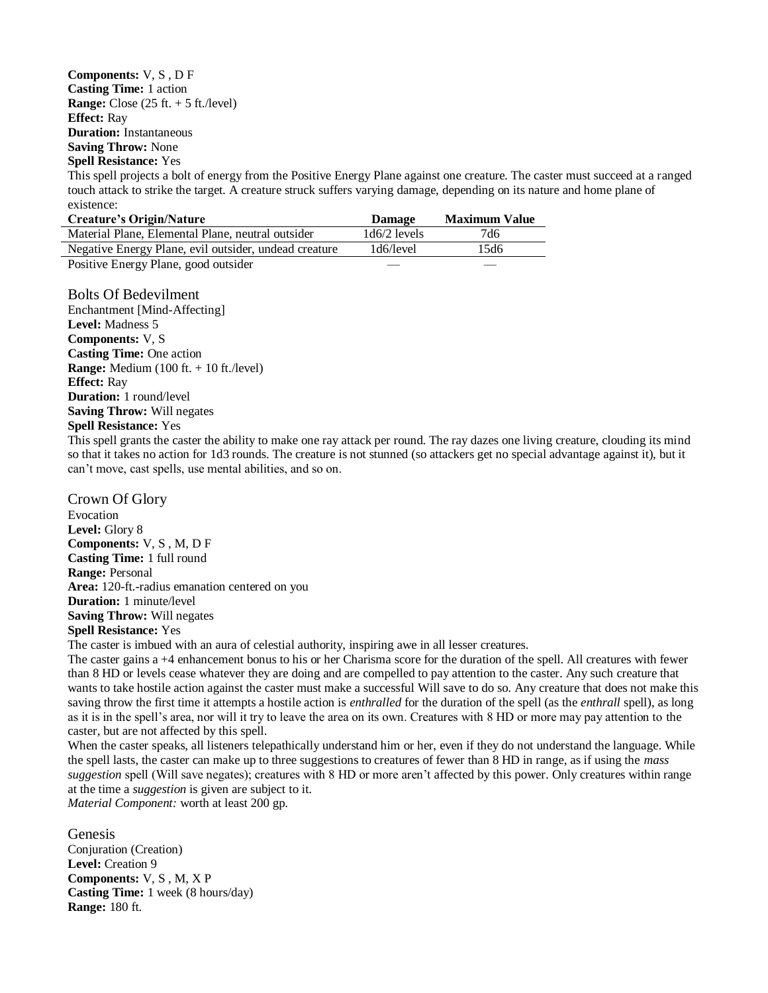**Components:** V, S , D F **Casting Time:** 1 action **Range:** Close (25 ft. + 5 ft./level) **Effect:** Ray **Duration:** Instantaneous **Saving Throw:** None

#### **Spell Resistance:** Yes

This spell projects a bolt of energy from the Positive Energy Plane against one creature. The caster must succeed at a ranged touch attack to strike the target. A creature struck suffers varying damage, depending on its nature and home plane of existence:

| <b>Damage</b>  | <b>Maximum Value</b> |
|----------------|----------------------|
| $1d6/2$ levels | 7d6                  |
| 1d6/level      | 15d6                 |
|                |                      |

Positive Energy Plane, good outsider

Bolts Of Bedevilment Enchantment [Mind-Affecting] **Level:** Madness 5 **Components:** V, S **Casting Time:** One action **Range:** Medium (100 ft. + 10 ft./level) **Effect:** Ray **Duration:** 1 round/level **Saving Throw:** Will negates **Spell Resistance:** Yes

This spell grants the caster the ability to make one ray attack per round. The ray dazes one living creature, clouding its mind so that it takes no action for 1d3 rounds. The creature is not stunned (so attackers get no special advantage against it), but it can't move, cast spells, use mental abilities, and so on.

#### Crown Of Glory

Evocation **Level:** Glory 8 **Components:** V, S , M, D F **Casting Time:** 1 full round **Range:** Personal **Area:** 120-ft.-radius emanation centered on you **Duration:** 1 minute/level **Saving Throw:** Will negates **Spell Resistance:** Yes

The caster is imbued with an aura of celestial authority, inspiring awe in all lesser creatures.

The caster gains a +4 enhancement bonus to his or her Charisma score for the duration of the spell. All creatures with fewer than 8 HD or levels cease whatever they are doing and are compelled to pay attention to the caster. Any such creature that wants to take hostile action against the caster must make a successful Will save to do so. Any creature that does not make this saving throw the first time it attempts a hostile action is *enthralled* for the duration of the spell (as the *enthrall* spell), as long as it is in the spell's area, nor will it try to leave the area on its own. Creatures with 8 HD or more may pay attention to the caster, but are not affected by this spell.

When the caster speaks, all listeners telepathically understand him or her, even if they do not understand the language. While the spell lasts, the caster can make up to three suggestions to creatures of fewer than 8 HD in range, as if using the *mass suggestion* spell (Will save negates); creatures with 8 HD or more aren't affected by this power. Only creatures within range at the time a *suggestion* is given are subject to it.

*Material Component:* worth at least 200 gp.

Genesis Conjuration (Creation) **Level:** Creation 9 **Components:** V, S , M, X P **Casting Time:** 1 week (8 hours/day) **Range:** 180 ft.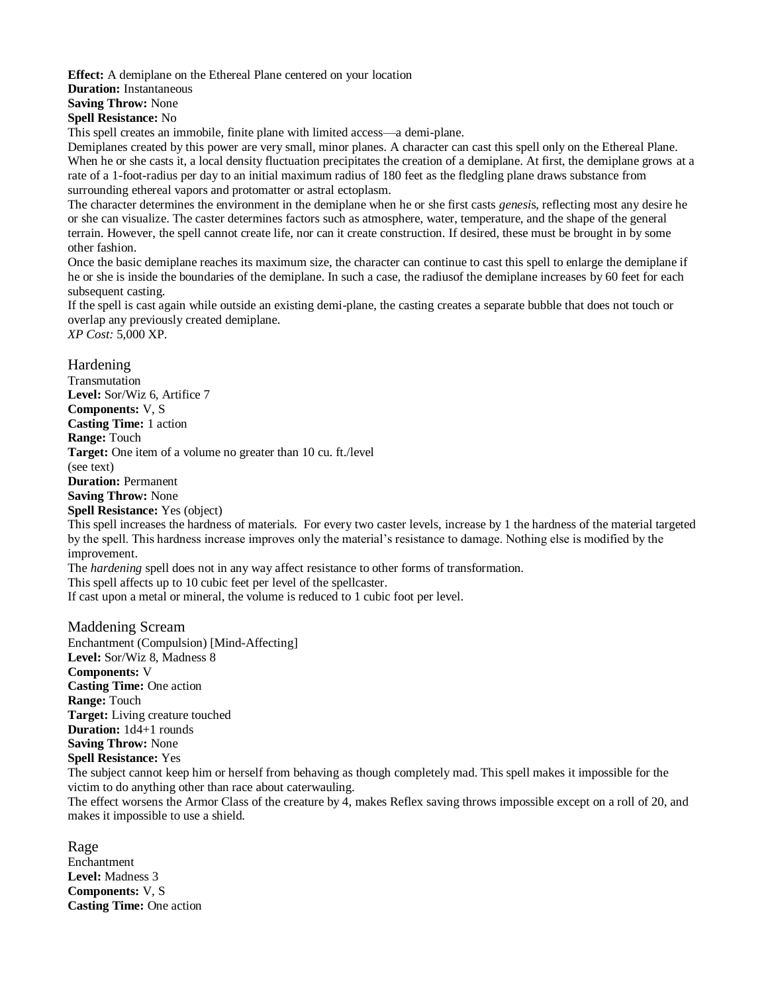**Effect:** A demiplane on the Ethereal Plane centered on your location

**Duration:** Instantaneous

**Saving Throw:** None

**Spell Resistance:** No

This spell creates an immobile, finite plane with limited access—a demi-plane.

Demiplanes created by this power are very small, minor planes. A character can cast this spell only on the Ethereal Plane. When he or she casts it, a local density fluctuation precipitates the creation of a demiplane. At first, the demiplane grows at a rate of a 1-foot-radius per day to an initial maximum radius of 180 feet as the fledgling plane draws substance from surrounding ethereal vapors and protomatter or astral ectoplasm.

The character determines the environment in the demiplane when he or she first casts *genesi*s, reflecting most any desire he or she can visualize. The caster determines factors such as atmosphere, water, temperature, and the shape of the general terrain. However, the spell cannot create life, nor can it create construction. If desired, these must be brought in by some other fashion.

Once the basic demiplane reaches its maximum size, the character can continue to cast this spell to enlarge the demiplane if he or she is inside the boundaries of the demiplane. In such a case, the radiusof the demiplane increases by 60 feet for each subsequent casting.

If the spell is cast again while outside an existing demi-plane, the casting creates a separate bubble that does not touch or overlap any previously created demiplane.

*XP Cost:* 5,000 XP.

Hardening Transmutation **Level:** Sor/Wiz 6, Artifice 7 **Components:** V, S **Casting Time:** 1 action **Range:** Touch **Target:** One item of a volume no greater than 10 cu. ft./level (see text) **Duration:** Permanent **Saving Throw:** None **Spell Resistance:** Yes (object) This spell increases the hardness of materials. For every two caster levels, increase by 1 the hardness of the material targeted by the spell. This hardness increase improves only the material's resistance to damage. Nothing else is modified by the improvement. The *hardening* spell does not in any way affect resistance to other forms of transformation. This spell affects up to 10 cubic feet per level of the spellcaster. If cast upon a metal or mineral, the volume is reduced to 1 cubic foot per level.

Maddening Scream Enchantment (Compulsion) [Mind-Affecting] **Level:** Sor/Wiz 8, Madness 8 **Components:** V **Casting Time:** One action **Range:** Touch **Target:** Living creature touched **Duration:** 1d4+1 rounds **Saving Throw:** None **Spell Resistance:** Yes

The subject cannot keep him or herself from behaving as though completely mad. This spell makes it impossible for the victim to do anything other than race about caterwauling.

The effect worsens the Armor Class of the creature by 4, makes Reflex saving throws impossible except on a roll of 20, and makes it impossible to use a shield.

Rage Enchantment **Level:** Madness 3 **Components:** V, S **Casting Time:** One action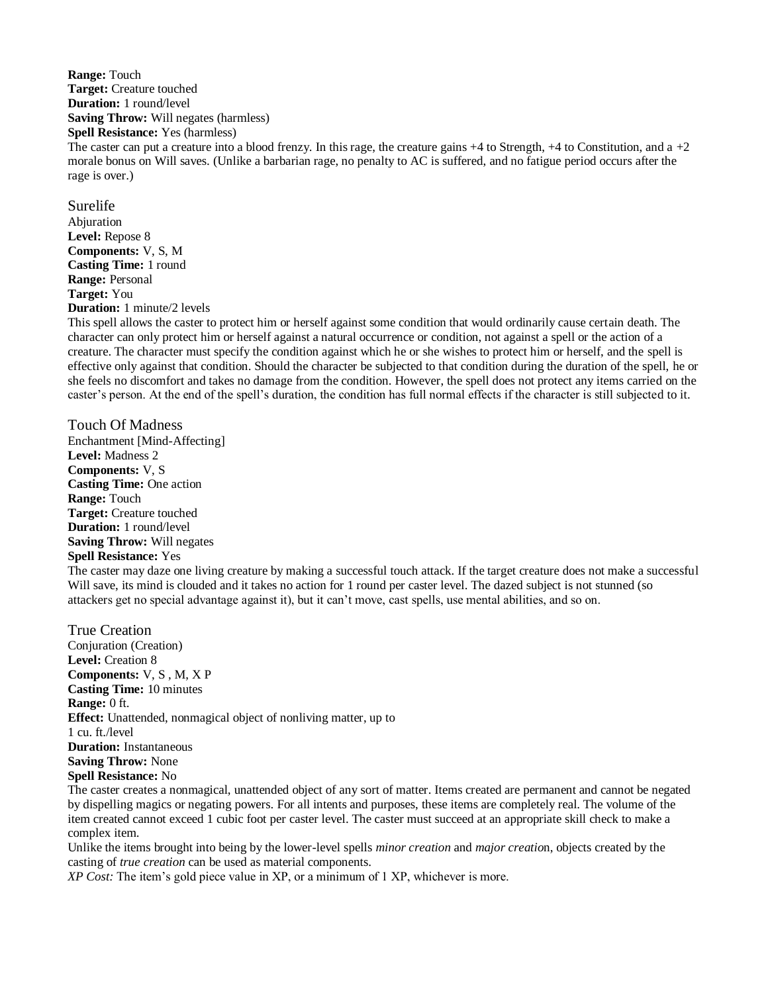**Range:** Touch **Target:** Creature touched **Duration:** 1 round/level **Saving Throw:** Will negates (harmless) **Spell Resistance:** Yes (harmless)

The caster can put a creature into a blood frenzy. In this rage, the creature gains  $+4$  to Strength,  $+4$  to Constitution, and a  $+2$ morale bonus on Will saves. (Unlike a barbarian rage, no penalty to AC is suffered, and no fatigue period occurs after the rage is over.)

Surelife Abjuration **Level:** Repose 8 **Components:** V, S, M **Casting Time:** 1 round **Range:** Personal **Target:** You **Duration:** 1 minute/2 levels

This spell allows the caster to protect him or herself against some condition that would ordinarily cause certain death. The character can only protect him or herself against a natural occurrence or condition, not against a spell or the action of a creature. The character must specify the condition against which he or she wishes to protect him or herself, and the spell is effective only against that condition. Should the character be subjected to that condition during the duration of the spell, he or she feels no discomfort and takes no damage from the condition. However, the spell does not protect any items carried on the caster's person. At the end of the spell's duration, the condition has full normal effects if the character is still subjected to it.

Touch Of Madness Enchantment [Mind-Affecting] **Level:** Madness 2 **Components:** V, S **Casting Time:** One action **Range:** Touch **Target:** Creature touched **Duration:** 1 round/level **Saving Throw:** Will negates **Spell Resistance:** Yes

The caster may daze one living creature by making a successful touch attack. If the target creature does not make a successful Will save, its mind is clouded and it takes no action for 1 round per caster level. The dazed subject is not stunned (so attackers get no special advantage against it), but it can't move, cast spells, use mental abilities, and so on.

True Creation Conjuration (Creation) **Level:** Creation 8 **Components:** V, S , M, X P **Casting Time:** 10 minutes **Range:** 0 ft. **Effect:** Unattended, nonmagical object of nonliving matter, up to 1 cu. ft./level **Duration:** Instantaneous **Saving Throw:** None **Spell Resistance:** No

The caster creates a nonmagical, unattended object of any sort of matter. Items created are permanent and cannot be negated by dispelling magics or negating powers. For all intents and purposes, these items are completely real. The volume of the item created cannot exceed 1 cubic foot per caster level. The caster must succeed at an appropriate skill check to make a complex item.

Unlike the items brought into being by the lower-level spells *minor creation* and *major creatio*n, objects created by the casting of *true creation* can be used as material components.

*XP Cost:* The item's gold piece value in XP, or a minimum of 1 XP, whichever is more.